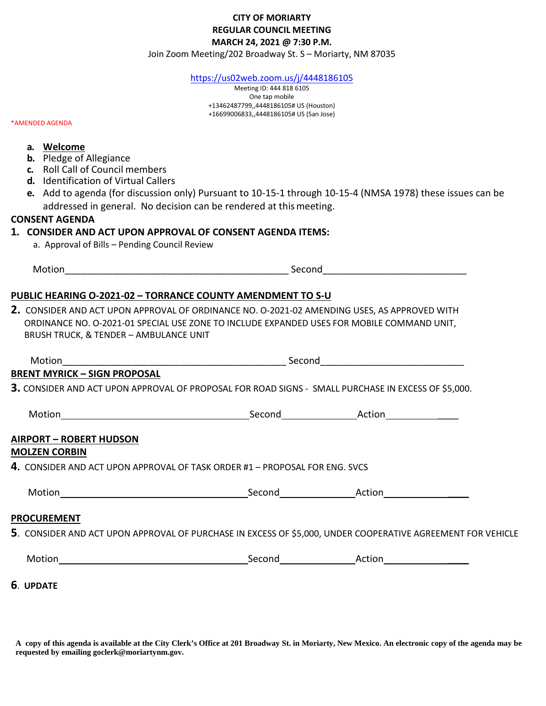## **CITY OF MORIARTY REGULAR COUNCIL MEETING MARCH 24, 2021 @ 7:30 P.M.**

Join Zoom Meeting/202 Broadway St. S – Moriarty, NM 87035

<https://us02web.zoom.us/j/4448186105>

Meeting ID: 444 818 6105 One tap mobile +13462487799,,4448186105# US (Houston) +16699006833,,4448186105# US (San Jose)

\*AMENDED AGENDA

| a. Welcome                                                                                   |                                                                                                     |                                                                                                            |  |  |
|----------------------------------------------------------------------------------------------|-----------------------------------------------------------------------------------------------------|------------------------------------------------------------------------------------------------------------|--|--|
| <b>b.</b> Pledge of Allegiance                                                               |                                                                                                     |                                                                                                            |  |  |
| c. Roll Call of Council members                                                              |                                                                                                     |                                                                                                            |  |  |
| d. Identification of Virtual Callers                                                         |                                                                                                     |                                                                                                            |  |  |
|                                                                                              |                                                                                                     | e. Add to agenda (for discussion only) Pursuant to 10-15-1 through 10-15-4 (NMSA 1978) these issues can be |  |  |
|                                                                                              | addressed in general. No decision can be rendered at this meeting.                                  |                                                                                                            |  |  |
| <b>CONSENT AGENDA</b>                                                                        |                                                                                                     |                                                                                                            |  |  |
|                                                                                              | 1. CONSIDER AND ACT UPON APPROVAL OF CONSENT AGENDA ITEMS:                                          |                                                                                                            |  |  |
| a. Approval of Bills - Pending Council Review                                                |                                                                                                     |                                                                                                            |  |  |
|                                                                                              |                                                                                                     |                                                                                                            |  |  |
|                                                                                              |                                                                                                     |                                                                                                            |  |  |
|                                                                                              | <b>PUBLIC HEARING O-2021-02 - TORRANCE COUNTY AMENDMENT TO S-U</b>                                  |                                                                                                            |  |  |
| 2. CONSIDER AND ACT UPON APPROVAL OF ORDINANCE NO. 0-2021-02 AMENDING USES, AS APPROVED WITH |                                                                                                     |                                                                                                            |  |  |
|                                                                                              |                                                                                                     |                                                                                                            |  |  |
|                                                                                              | ORDINANCE NO. O-2021-01 SPECIAL USE ZONE TO INCLUDE EXPANDED USES FOR MOBILE COMMAND UNIT,          |                                                                                                            |  |  |
| <b>BRUSH TRUCK, &amp; TENDER - AMBULANCE UNIT</b>                                            |                                                                                                     |                                                                                                            |  |  |
|                                                                                              |                                                                                                     |                                                                                                            |  |  |
|                                                                                              |                                                                                                     |                                                                                                            |  |  |
| <b>BRENT MYRICK - SIGN PROPOSAL</b>                                                          |                                                                                                     |                                                                                                            |  |  |
|                                                                                              | 3. CONSIDER AND ACT UPON APPROVAL OF PROPOSAL FOR ROAD SIGNS - SMALL PURCHASE IN EXCESS OF \$5,000. |                                                                                                            |  |  |
|                                                                                              |                                                                                                     |                                                                                                            |  |  |
|                                                                                              |                                                                                                     |                                                                                                            |  |  |
|                                                                                              |                                                                                                     |                                                                                                            |  |  |
| <b>AIRPORT - ROBERT HUDSON</b>                                                               |                                                                                                     |                                                                                                            |  |  |
| <b>MOLZEN CORBIN</b>                                                                         |                                                                                                     |                                                                                                            |  |  |
|                                                                                              | 4. CONSIDER AND ACT UPON APPROVAL OF TASK ORDER #1 - PROPOSAL FOR ENG. SVCS                         |                                                                                                            |  |  |

## **PROCUREMENT**

**5**. CONSIDER AND ACT UPON APPROVAL OF PURCHASE IN EXCESS OF \$5,000, UNDER COOPERATIVE AGREEMENT FOR VEHICLE

| Mc | $\sim$ $\sim$ $\sim$<br>пс<br>. st * | .<br>$\cdots$<br>¬៶. |
|----|--------------------------------------|----------------------|
|    |                                      |                      |

**6**. **UPDATE**

**A copy of this agenda is available at the City Clerk's Office at 201 Broadway St. in Moriarty, New Mexico. An electronic copy of the agenda may be requested by emailing goclerk@moriartynm.gov.**